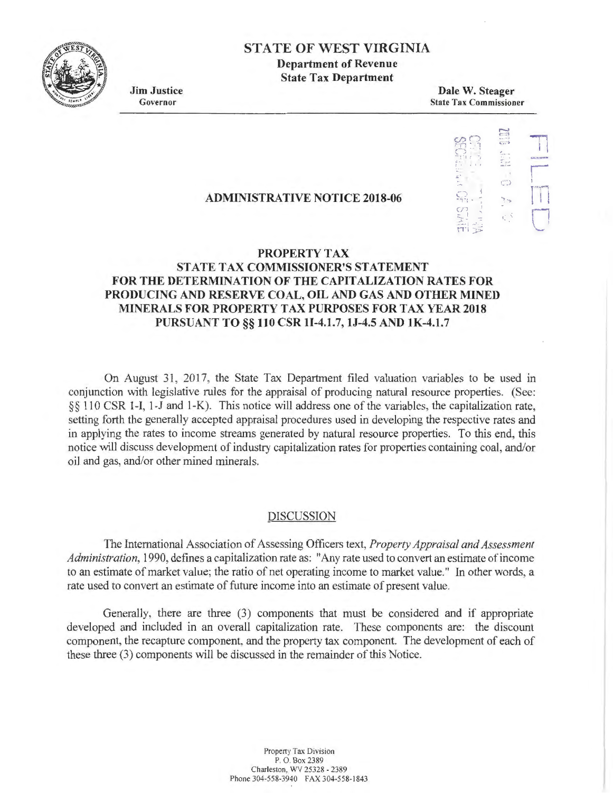

## **STA TE OF WEST VIRGINIA Department of Revenue**

**State Tax Department** 

**Jim Justice**  Governor

**Dale W. Steager**  State Tax Commissioner



# **ADMINISTRATIVE NOTICE 2018-06**

## **PROPERTY TAX STATE TAX COMMISSIONER'S STATEMENT FOR THE DETERMINATION OF THE CAPITALIZATION RATES FOR PRODUCING AND RESERVE COAL, OIL AND GAS AND OTHER MINED MINERALS FOR PROPERTY TAX PURPOSES FOR TAX YEAR 2018 PURSUANT TO§§ 110 CSR 11-4.1.7, lJ-4.5 AND lK-4.1.7**

On August 31, 2017, the State Tax Department filed valuation variables to be used in conjunction with legislative rules for the appraisal of producing natural resource properties. (See: §§ 110 CSR 1-1, 1-J and 1-K). This notice will address one of the variables, the capitalization rate, setting forth the generally accepted appraisal procedures used in developing the respective rates and in applying the rates to income streams generated by natural resource properties. To this end, this notice will discuss development of industry capitalization rates for properties containing coal, and/or oil and gas, and/or other mined minerals.

### DISCUSSION

The International Association of Assessing Officers text, *Property Appraisal and Assessment Administration,* 1990, defines a capitalization rate as: "Any rate used to convert an estimate of income to an estimate of market value; the ratio of net operating income to market value." In other words, a rate used to convert an estimate of future income into an estimate of present value.

Generally, there are three (3) components that must be considered and if appropriate developed and included in an overall capitalization rate. These components are: the discount component, the recapture component, and the property tax component. The development of each of these three (3) components will be discussed in the remainder of this Notice.

> Propeny Tax Division P. O. Box 2389 Charleston, WV 25328 - 2389 Phone 304-558-3940 FAX 304-558-1843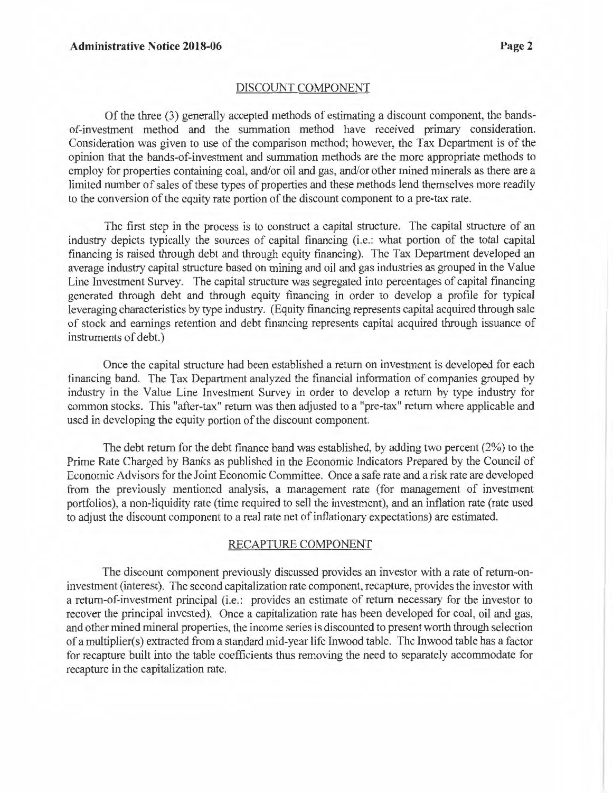#### DISCOUNT COMPONENT

Of the three (3) generally accepted methods of estimating a discount component, the bandsof-investment method and the summation method have received primary consideration. Consideration was given to use of the comparison method; however, the Tax Department is of the opinion that the bands-of-investment and summation methods are the more appropriate methods to employ for properties containing coal, and/or oil and gas, and/or other mined minerals as there are a limited number of sales of these types of properties and these methods lend themselves more readily to the conversion of the equity rate portion of the discount component to a pre-tax rate.

The first step in the process is to construct a capital structure. The capital structure of an industry depicts typically the sources of capital financing (i.e.: what portion of the total capital financing is raised through debt and through equity financing). The Tax Department developed an average industry capital structure based on mining and oil and gas industries as grouped in the Value Line Investment Survey. The capital structure was segregated into percentages of capital financing generated through debt and through equity financing in order to develop a profile for typical leveraging characteristics by type industry. (Equity financing represents capital acquired through sale of stock and earnings retention and debt financing represents capital acquired through issuance of instruments of debt.)

Once the capital structure had been established a return on investment is developed for each financing band. The Tax Department analyzed the financial information of companies grouped by industry in the Value Line Investment Survey in order to develop a return by type industry for common stocks. This "after-tax" return was then adjusted to a "pre-tax" return where applicable and used in developing the equity portion of the discount component.

The debt return for the debt finance band was established, by adding two percent (2%) to the Prime Rate Charged by Banks as published in the Economic Indicators Prepared by the Council of Economic Advisors for the Joint Economic Committee. Once a safe rate and a risk rate are developed from the previously mentioned analysis, a management rate (for management of investment portfolios), a non-liquidity rate (time required to sell the investment), and an inflation rate (rate used to adjust the discount component to a real rate net of inflationary expectations) are estimated.

#### RECAPTURE COMPONENT

The discount component previously discussed provides an investor with a rate of return-oninvestment (interest). The second capitalization rate component, recapture, provides the investor with a return-of-investment principal (i.e.: provides an estimate of return necessary for the investor to recover the principal invested). Once a capitalization rate has been developed for coal, oil and gas, and other mined mineral properties, the income series is discounted to present worth through selection of a multiplier(s) extracted from a standard mid-year life Inwood table. The Inwood table has a factor for recapture built into the table coefficients thus removing the need to separately accommodate for recapture in the capitalization rate.